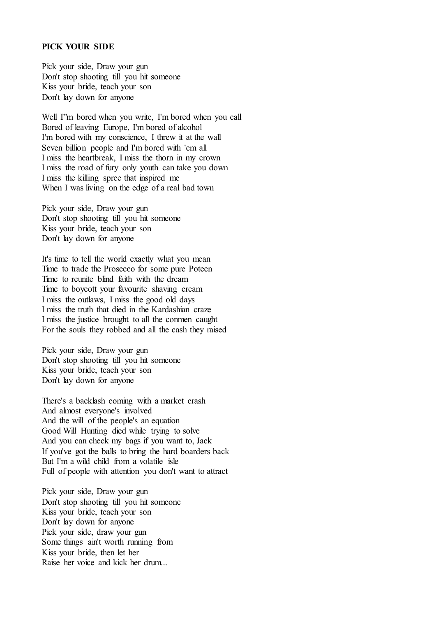## **PICK YOUR SIDE**

Pick your side, Draw your gun Don't stop shooting till you hit someone Kiss your bride, teach your son Don't lay down for anyone

Well I"m bored when you write, I'm bored when you call Bored of leaving Europe, I'm bored of alcohol I'm bored with my conscience, I threw it at the wall Seven billion people and I'm bored with 'em all I miss the heartbreak, I miss the thorn in my crown I miss the road of fury only youth can take you down I miss the killing spree that inspired me When I was living on the edge of a real bad town

Pick your side, Draw your gun Don't stop shooting till you hit someone Kiss your bride, teach your son Don't lay down for anyone

It's time to tell the world exactly what you mean Time to trade the Prosecco for some pure Poteen Time to reunite blind faith with the dream Time to boycott your favourite shaving cream I miss the outlaws, I miss the good old days I miss the truth that died in the Kardashian craze I miss the justice brought to all the conmen caught For the souls they robbed and all the cash they raised

Pick your side, Draw your gun Don't stop shooting till you hit someone Kiss your bride, teach your son Don't lay down for anyone

There's a backlash coming with a market crash And almost everyone's involved And the will of the people's an equation Good Will Hunting died while trying to solve And you can check my bags if you want to, Jack If you've got the balls to bring the hard boarders back But I'm a wild child from a volatile isle Full of people with attention you don't want to attract

Pick your side, Draw your gun Don't stop shooting till you hit someone Kiss your bride, teach your son Don't lay down for anyone Pick your side, draw your gun Some things ain't worth running from Kiss your bride, then let her Raise her voice and kick her drum...